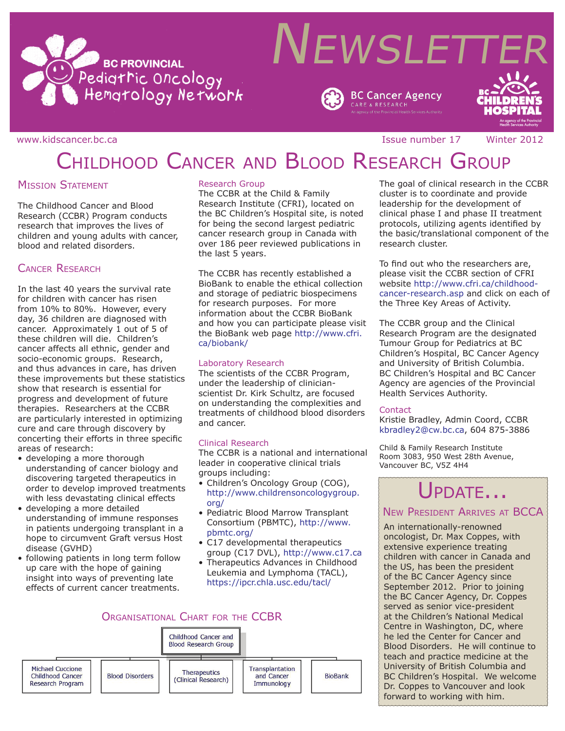



**BC Cancer Agency** 

www.kidscancer.bc.ca issue in the set of the Issue number 17 and Winter 2012

# CHILDHOOD CANCER AND BLOOD RESEARCH GROUP

## **MISSION STATEMENT**

The Childhood Cancer and Blood Research (CCBR) Program conducts research that improves the lives of children and young adults with cancer, blood and related disorders.

## Cancer Research

In the last 40 years the survival rate for children with cancer has risen from 10% to 80%. However, every day, 36 children are diagnosed with cancer. Approximately 1 out of 5 of these children will die. Children's cancer affects all ethnic, gender and socio-economic groups. Research, and thus advances in care, has driven these improvements but these statistics show that research is essential for progress and development of future therapies. Researchers at the CCBR are particularly interested in optimizing cure and care through discovery by concerting their efforts in three specific areas of research:

- developing a more thorough understanding of cancer biology and discovering targeted therapeutics in order to develop improved treatments with less devastating clinical effects
- developing a more detailed understanding of immune responses in patients undergoing transplant in a hope to circumvent Graft versus Host disease (GVHD)
- following patients in long term follow up care with the hope of gaining insight into ways of preventing late effects of current cancer treatments.

### Research Group

The CCBR at the Child & Family Research Institute (CFRI), located on the BC Children's Hospital site, is noted for being the second largest pediatric cancer research group in Canada with over 186 peer reviewed publications in the last 5 years.

The CCBR has recently established a BioBank to enable the ethical collection and storage of pediatric biospecimens for research purposes. For more information about the CCBR BioBank and how you can participate please visit the BioBank web page http://www.cfri. ca/biobank/

#### Laboratory Research

The scientists of the CCBR Program, under the leadership of clinicianscientist Dr. Kirk Schultz, are focused on understanding the complexities and treatments of childhood blood disorders and cancer.

### Clinical Research

The CCBR is a national and international leader in cooperative clinical trials groups including:

- Children's Oncology Group (COG), http://www.childrensoncologygroup. org/
- Pediatric Blood Marrow Transplant Consortium (PBMTC), http://www. pbmtc.org/
- C17 developmental therapeutics group (C17 DVL), http://www.c17.ca
- Therapeutics Advances in Childhood Leukemia and Lymphoma (TACL), https://ipcr.chla.usc.edu/tacl/



The goal of clinical research in the CCBR cluster is to coordinate and provide leadership for the development of clinical phase I and phase II treatment protocols, utilizing agents identified by the basic/translational component of the research cluster.

To find out who the researchers are, please visit the CCBR section of CFRI website http://www.cfri.ca/childhoodcancer-research.asp and click on each of the Three Key Areas of Activity.

The CCBR group and the Clinical Research Program are the designated Tumour Group for Pediatrics at BC Children's Hospital, BC Cancer Agency and University of British Columbia. BC Children's Hospital and BC Cancer Agency are agencies of the Provincial Health Services Authority.

### **Contact**

Kristie Bradley, Admin Coord, CCBR kbradley2@cw.bc.ca, 604 875-3886

Child & Family Research Institute Room 3083, 950 West 28th Avenue, Vancouver BC, V5Z 4H4

# PDATE...

## New President Arrives at BCCA

An internationally-renowned oncologist, Dr. Max Coppes, with extensive experience treating children with cancer in Canada and the US, has been the president of the BC Cancer Agency since September 2012. Prior to joining the BC Cancer Agency, Dr. Coppes served as senior vice-president at the Children's National Medical Centre in Washington, DC, where he led the Center for Cancer and Blood Disorders. He will continue to teach and practice medicine at the University of British Columbia and BC Children's Hospital. We welcome Dr. Coppes to Vancouver and look forward to working with him.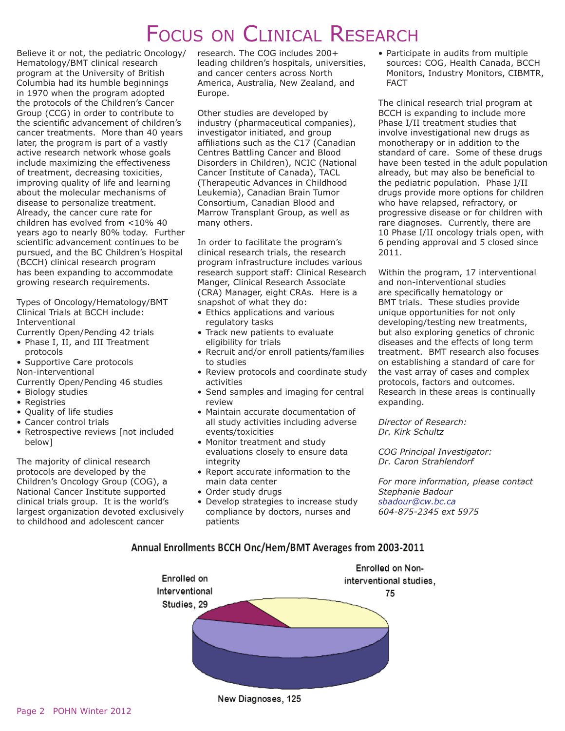# FOCUS ON CLINICAL RESEARCH

Believe it or not, the pediatric Oncology/ Hematology/BMT clinical research program at the University of British Columbia had its humble beginnings in 1970 when the program adopted the protocols of the Children's Cancer Group (CCG) in order to contribute to the scientific advancement of children's cancer treatments. More than 40 years later, the program is part of a vastly active research network whose goals include maximizing the effectiveness of treatment, decreasing toxicities, improving quality of life and learning about the molecular mechanisms of disease to personalize treatment. Already, the cancer cure rate for children has evolved from <10% 40 years ago to nearly 80% today. Further scientific advancement continues to be pursued, and the BC Children's Hospital (BCCH) clinical research program has been expanding to accommodate growing research requirements.

Types of Oncology/Hematology/BMT Clinical Trials at BCCH include: Interventional

- Currently Open/Pending 42 trials
- Phase I, II, and III Treatment protocols
- Supportive Care protocols Non-interventional
- Currently Open/Pending 46 studies
- Biology studies
- Registries
- Quality of life studies
- Cancer control trials
- Retrospective reviews [not included below]

The majority of clinical research protocols are developed by the Children's Oncology Group (COG), a National Cancer Institute supported clinical trials group. It is the world's largest organization devoted exclusively to childhood and adolescent cancer

research. The COG includes 200+ leading children's hospitals, universities, and cancer centers across North America, Australia, New Zealand, and Europe.

Other studies are developed by industry (pharmaceutical companies), investigator initiated, and group affiliations such as the C17 (Canadian Centres Battling Cancer and Blood Disorders in Children), NCIC (National Cancer Institute of Canada), TACL (Therapeutic Advances in Childhood Leukemia), Canadian Brain Tumor Consortium, Canadian Blood and Marrow Transplant Group, as well as many others.

In order to facilitate the program's clinical research trials, the research program infrastructure includes various research support staff: Clinical Research Manger, Clinical Research Associate (CRA) Manager, eight CRAs. Here is a snapshot of what they do:

- Ethics applications and various regulatory tasks
- Track new patients to evaluate eligibility for trials
- Recruit and/or enroll patients/families to studies
- Review protocols and coordinate study activities
- Send samples and imaging for central review
- Maintain accurate documentation of all study activities including adverse events/toxicities
- Monitor treatment and study evaluations closely to ensure data integrity
- Report accurate information to the main data center
- Order study drugs
- Develop strategies to increase study compliance by doctors, nurses and patients

• Participate in audits from multiple sources: COG, Health Canada, BCCH Monitors, Industry Monitors, CIBMTR, FACT

The clinical research trial program at BCCH is expanding to include more Phase I/II treatment studies that involve investigational new drugs as monotherapy or in addition to the standard of care. Some of these drugs have been tested in the adult population already, but may also be beneficial to the pediatric population. Phase I/II drugs provide more options for children who have relapsed, refractory, or progressive disease or for children with rare diagnoses. Currently, there are 10 Phase I/II oncology trials open, with 6 pending approval and 5 closed since 2011.

Within the program, 17 interventional and non-interventional studies are specifically hematology or BMT trials. These studies provide unique opportunities for not only developing/testing new treatments, but also exploring genetics of chronic diseases and the effects of long term treatment. BMT research also focuses on establishing a standard of care for the vast array of cases and complex protocols, factors and outcomes. Research in these areas is continually expanding.

*Director of Research: Dr. Kirk Schultz*

*COG Principal Investigator: Dr. Caron Strahlendorf*

*For more information, please contact Stephanie Badour sbadour@cw.bc.ca 604-875-2345 ext 5975*

### Annual Enrollments BCCH Onc/Hem/BMT Averages from 2003-2011

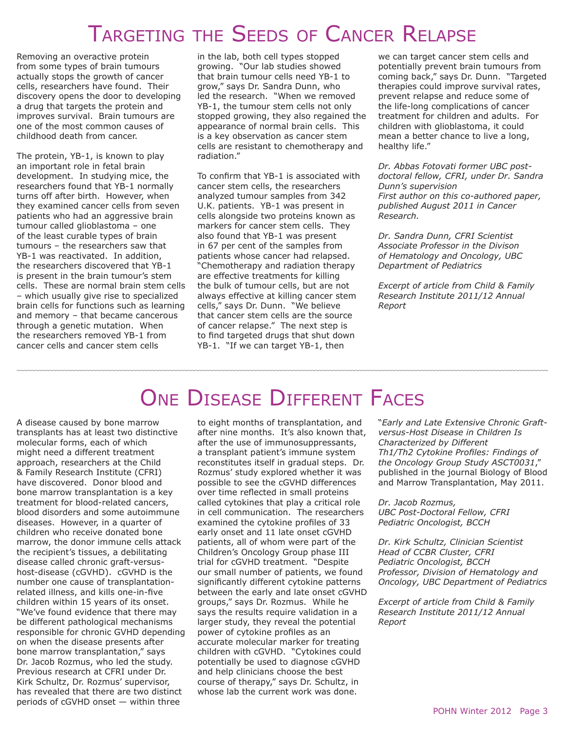# Targeting the Seeds of Cancer Relapse

Removing an overactive protein from some types of brain tumours actually stops the growth of cancer cells, researchers have found. Their discovery opens the door to developing a drug that targets the protein and improves survival. Brain tumours are one of the most common causes of childhood death from cancer.

The protein, YB-1, is known to play an important role in fetal brain development. In studying mice, the researchers found that YB-1 normally turns off after birth. However, when they examined cancer cells from seven patients who had an aggressive brain tumour called glioblastoma – one of the least curable types of brain tumours – the researchers saw that YB-1 was reactivated. In addition, the researchers discovered that YB-1 is present in the brain tumour's stem cells. These are normal brain stem cells – which usually give rise to specialized brain cells for functions such as learning and memory – that became cancerous through a genetic mutation. When the researchers removed YB-1 from cancer cells and cancer stem cells

in the lab, both cell types stopped growing. "Our lab studies showed that brain tumour cells need YB-1 to grow," says Dr. Sandra Dunn, who led the research. "When we removed YB-1, the tumour stem cells not only stopped growing, they also regained the appearance of normal brain cells. This is a key observation as cancer stem cells are resistant to chemotherapy and radiation."

To confirm that YB-1 is associated with cancer stem cells, the researchers analyzed tumour samples from 342 U.K. patients. YB-1 was present in cells alongside two proteins known as markers for cancer stem cells. They also found that YB-1 was present in 67 per cent of the samples from patients whose cancer had relapsed. "Chemotherapy and radiation therapy are effective treatments for killing the bulk of tumour cells, but are not always effective at killing cancer stem cells," says Dr. Dunn. "We believe that cancer stem cells are the source of cancer relapse." The next step is to find targeted drugs that shut down YB-1. "If we can target YB-1, then

we can target cancer stem cells and potentially prevent brain tumours from coming back," says Dr. Dunn. "Targeted therapies could improve survival rates, prevent relapse and reduce some of the life-long complications of cancer treatment for children and adults. For children with glioblastoma, it could mean a better chance to live a long, healthy life."

*Dr. Abbas Fotovati former UBC postdoctoral fellow, CFRI, under Dr. Sandra Dunn's supervision First author on this co-authored paper, published August 2011 in Cancer Research.* 

*Dr. Sandra Dunn, CFRI Scientist Associate Professor in the Divison of Hematology and Oncology, UBC Department of Pediatrics*

*Excerpt of article from Child & Family Research Institute 2011/12 Annual Report*

#### A disease caused by bone marrow transplants has at least two distinctive molecular forms, each of which might need a different treatment approach, researchers at the Child & Family Research Institute (CFRI) have discovered. Donor blood and bone marrow transplantation is a key treatment for blood-related cancers, blood disorders and some autoimmune diseases. However, in a quarter of children who receive donated bone marrow, the donor immune cells attack the recipient's tissues, a debilitating disease called chronic graft-versushost-disease (cGVHD). cGVHD is the number one cause of transplantationrelated illness, and kills one-in-five children within 15 years of its onset. "We've found evidence that there may be different pathological mechanisms responsible for chronic GVHD depending on when the disease presents after bone marrow transplantation," says Dr. Jacob Rozmus, who led the study. Previous research at CFRI under Dr. Kirk Schultz, Dr. Rozmus' supervisor, has revealed that there are two distinct periods of cGVHD onset — within three

# ONE DISEASE DIFFERENT FACES

to eight months of transplantation, and after nine months. It's also known that, after the use of immunosuppressants, a transplant patient's immune system reconstitutes itself in gradual steps. Dr. Rozmus' study explored whether it was possible to see the cGVHD differences over time reflected in small proteins called cytokines that play a critical role in cell communication. The researchers examined the cytokine profiles of 33 early onset and 11 late onset cGVHD patients, all of whom were part of the Children's Oncology Group phase III trial for cGVHD treatment. "Despite our small number of patients, we found significantly different cytokine patterns between the early and late onset cGVHD groups," says Dr. Rozmus. While he says the results require validation in a larger study, they reveal the potential power of cytokine profiles as an accurate molecular marker for treating children with cGVHD. "Cytokines could potentially be used to diagnose cGVHD and help clinicians choose the best course of therapy," says Dr. Schultz, in whose lab the current work was done.

"*Early and Late Extensive Chronic Graftversus-Host Disease in Children Is Characterized by Different Th1/Th2 Cytokine Profiles: Findings of the Oncology Group Study ASCT0031*," published in the journal Biology of Blood and Marrow Transplantation, May 2011.

*Dr. Jacob Rozmus, UBC Post-Doctoral Fellow, CFRI Pediatric Oncologist, BCCH*

*Dr. Kirk Schultz, Clinician Scientist Head of CCBR Cluster, CFRI Pediatric Oncologist, BCCH Professor, Division of Hematology and Oncology, UBC Department of Pediatrics*

*Excerpt of article from Child & Family Research Institute 2011/12 Annual Report*